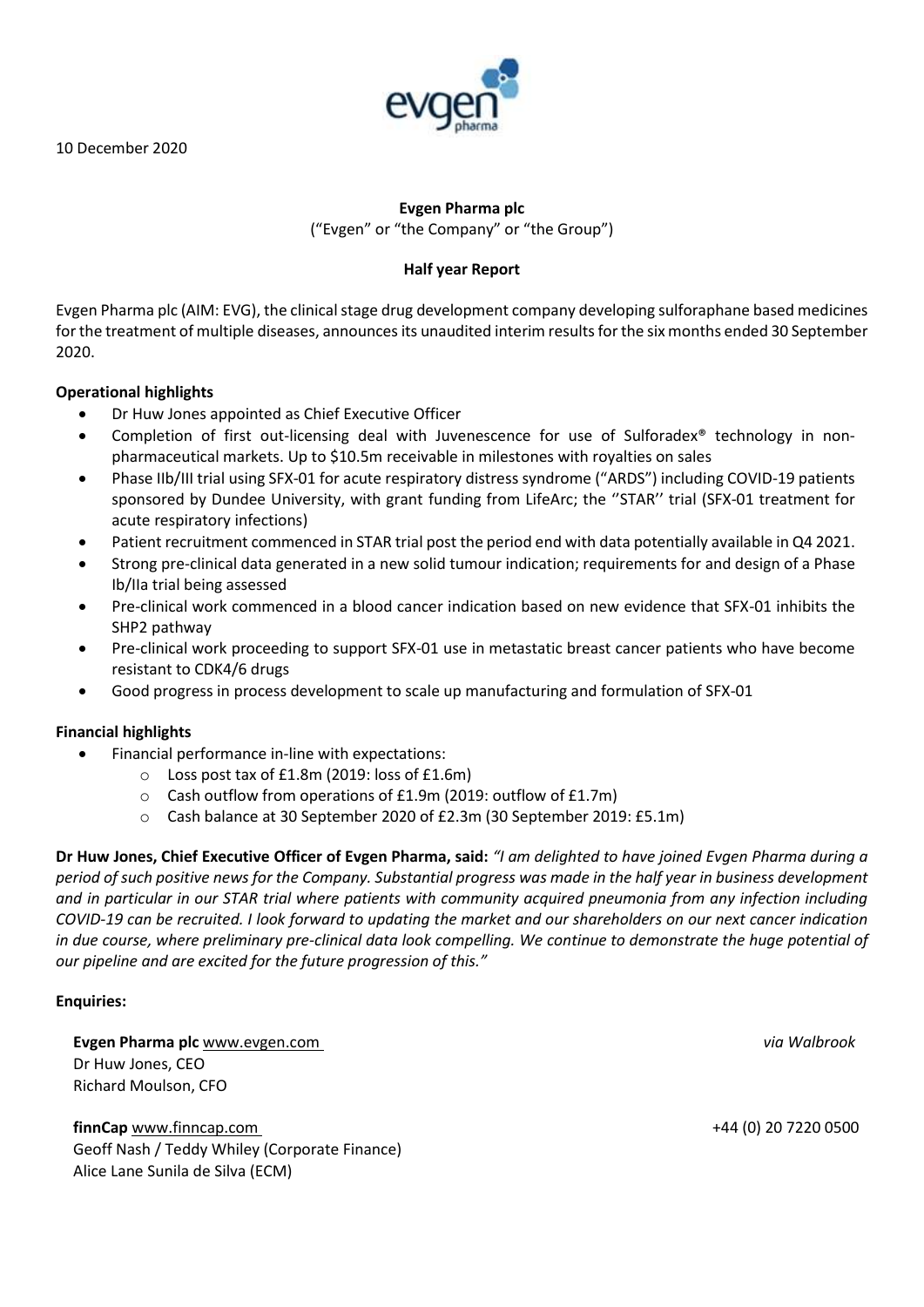10 December 2020



# **Evgen Pharma plc**

("Evgen" or "the Company" or "the Group")

# **Half year Report**

Evgen Pharma plc (AIM: EVG), the clinical stage drug development company developing sulforaphane based medicines for the treatment of multiple diseases, announces its unaudited interim results for the six months ended 30 September 2020.

## **Operational highlights**

- Dr Huw Jones appointed as Chief Executive Officer
- Completion of first out-licensing deal with Juvenescence for use of Sulforadex® technology in nonpharmaceutical markets. Up to \$10.5m receivable in milestones with royalties on sales
- Phase IIb/III trial using SFX-01 for acute respiratory distress syndrome ("ARDS") including COVID-19 patients sponsored by Dundee University, with grant funding from LifeArc; the ''STAR'' trial (SFX-01 treatment for acute respiratory infections)
- Patient recruitment commenced in STAR trial post the period end with data potentially available in Q4 2021.
- Strong pre-clinical data generated in a new solid tumour indication; requirements for and design of a Phase Ib/IIa trial being assessed
- Pre-clinical work commenced in a blood cancer indication based on new evidence that SFX-01 inhibits the SHP2 pathway
- Pre-clinical work proceeding to support SFX-01 use in metastatic breast cancer patients who have become resistant to CDK4/6 drugs
- Good progress in process development to scale up manufacturing and formulation of SFX-01

# **Financial highlights**

- Financial performance in-line with expectations:
	- o Loss post tax of £1.8m (2019: loss of £1.6m)
	- o Cash outflow from operations of £1.9m (2019: outflow of £1.7m)
	- o Cash balance at 30 September 2020 of £2.3m (30 September 2019: £5.1m)

**Dr Huw Jones, Chief Executive Officer of Evgen Pharma, said:** *"I am delighted to have joined Evgen Pharma during a period of such positive news for the Company. Substantial progress was made in the half year in business development and in particular in our STAR trial where patients with community acquired pneumonia from any infection including COVID-19 can be recruited. I look forward to updating the market and our shareholders on our next cancer indication in due course, where preliminary pre-clinical data look compelling. We continue to demonstrate the huge potential of our pipeline and are excited for the future progression of this."* 

## **Enquiries:**

**Evgen Pharma plc** [www.evgen.com](http://www.evgen.com/) *via Walbrook* Dr Huw Jones, CEO Richard Moulson, CFO

**finnCap** [www.finncap.com](http://www.finncap.com/) +44 (0) 20 7220 0500 Geoff Nash / Teddy Whiley (Corporate Finance) Alice Lane Sunila de Silva (ECM)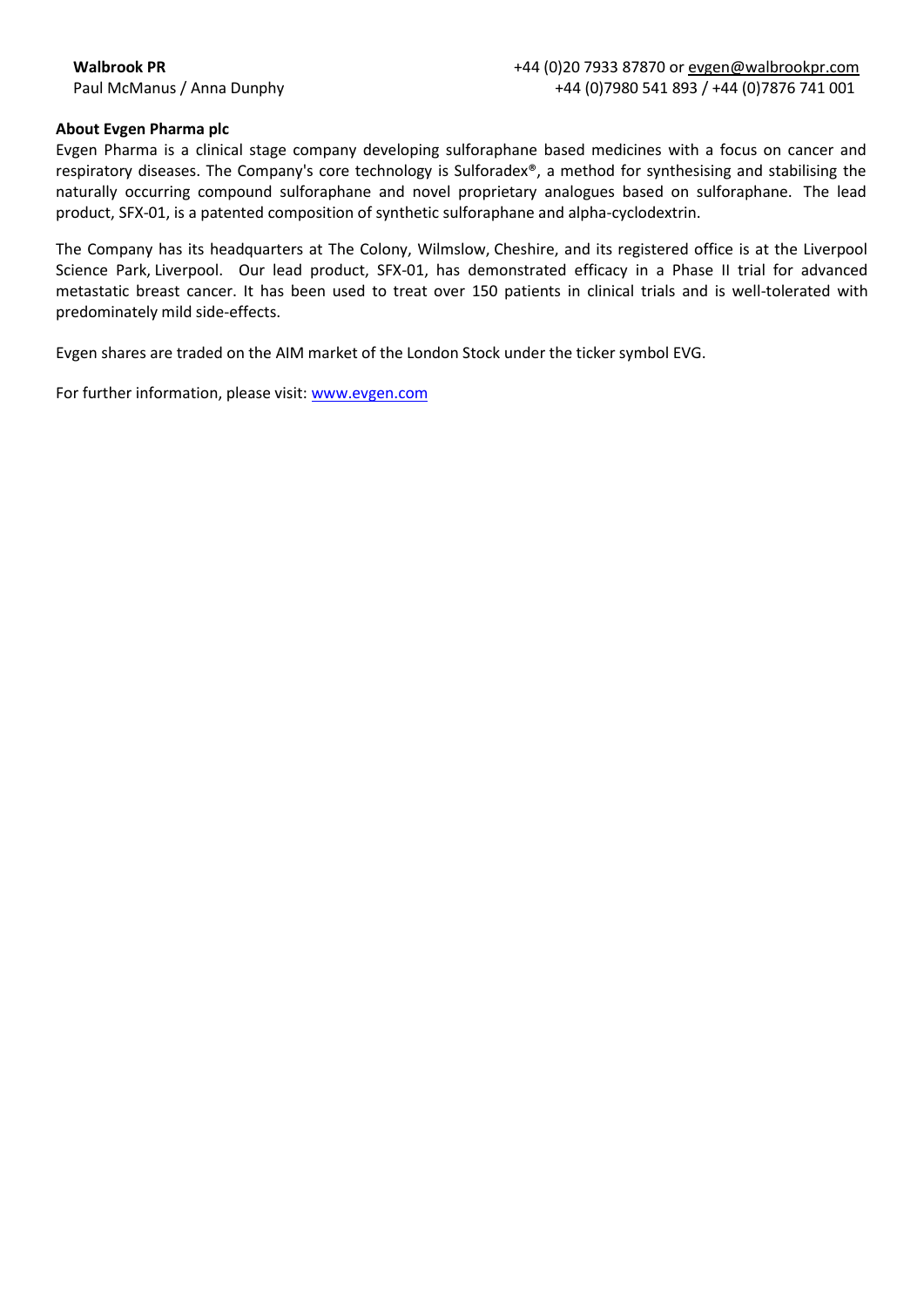## **About Evgen Pharma plc**

Evgen Pharma is a clinical stage company developing sulforaphane based medicines with a focus on cancer and respiratory diseases. The Company's core technology is Sulforadex®, a method for synthesising and stabilising the naturally occurring compound sulforaphane and novel proprietary analogues based on sulforaphane.  The lead product, SFX-01, is a patented composition of synthetic sulforaphane and alpha-cyclodextrin. 

The Company has its headquarters at The Colony, Wilmslow, Cheshire, and its registered office is at the Liverpool Science Park, Liverpool.   Our lead product, SFX-01, has demonstrated efficacy in a Phase II trial for advanced metastatic breast cancer. It has been used to treat over 150 patients in clinical trials and is well-tolerated with predominately mild side-effects.

Evgen shares are traded on the AIM market of the London Stock under the ticker symbol EVG.

For further information, please visit: [www.evgen.com](http://www.evgen.com/)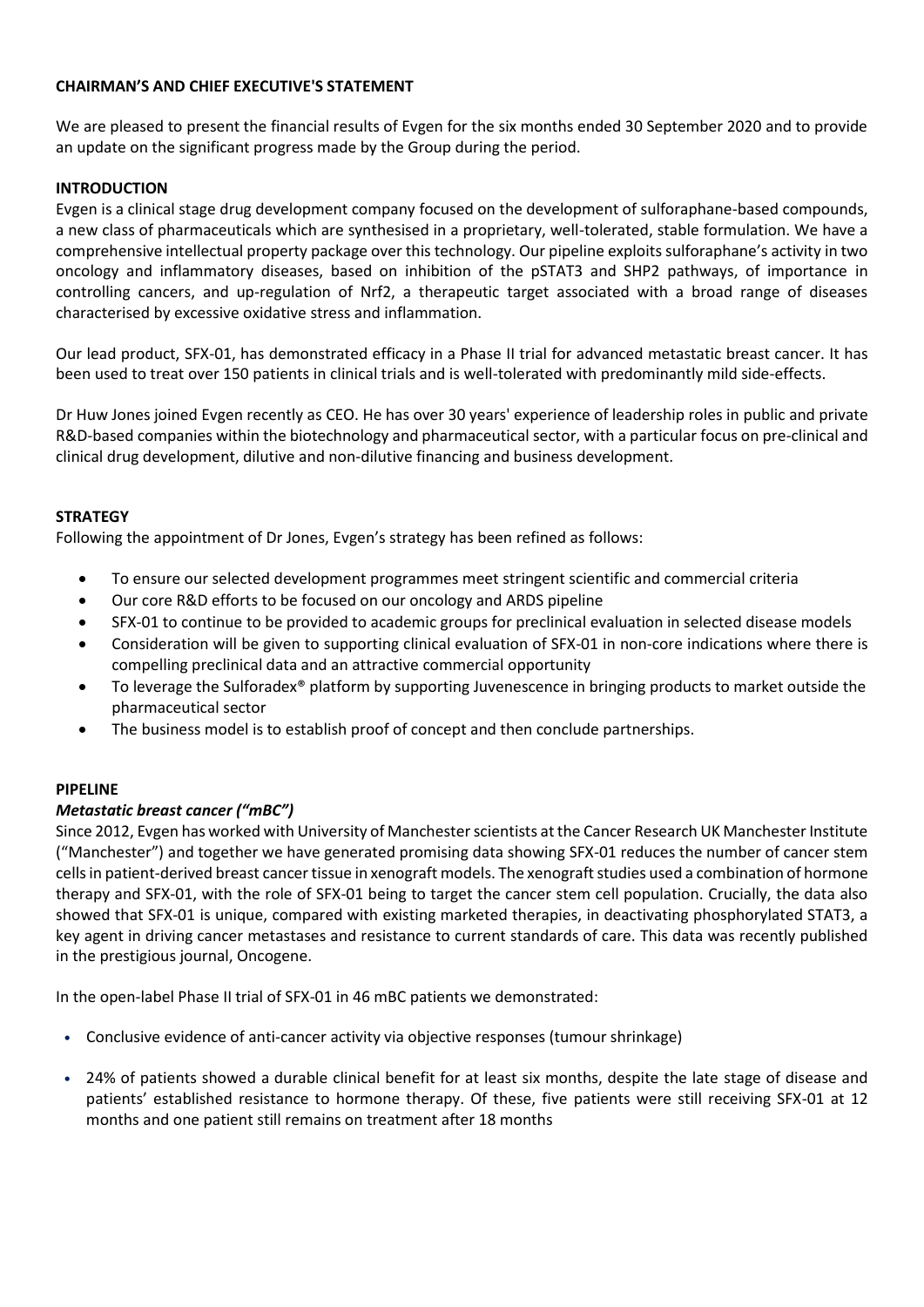## **CHAIRMAN'S AND CHIEF EXECUTIVE'S STATEMENT**

We are pleased to present the financial results of Evgen for the six months ended 30 September 2020 and to provide an update on the significant progress made by the Group during the period.

## **INTRODUCTION**

Evgen is a clinical stage drug development company focused on the development of sulforaphane-based compounds, a new class of pharmaceuticals which are synthesised in a proprietary, well-tolerated, stable formulation. We have a comprehensive intellectual property package over this technology. Our pipeline exploits sulforaphane's activity in two oncology and inflammatory diseases, based on inhibition of the pSTAT3 and SHP2 pathways, of importance in controlling cancers, and up-regulation of Nrf2, a therapeutic target associated with a broad range of diseases characterised by excessive oxidative stress and inflammation.

Our lead product, SFX-01, has demonstrated efficacy in a Phase II trial for advanced metastatic breast cancer. It has been used to treat over 150 patients in clinical trials and is well-tolerated with predominantly mild side-effects.

Dr Huw Jones joined Evgen recently as CEO. He has over 30 years' experience of leadership roles in public and private R&D-based companies within the biotechnology and pharmaceutical sector, with a particular focus on pre-clinical and clinical drug development, dilutive and non-dilutive financing and business development.

## **STRATEGY**

Following the appointment of Dr Jones, Evgen's strategy has been refined as follows:

- To ensure our selected development programmes meet stringent scientific and commercial criteria
- Our core R&D efforts to be focused on our oncology and ARDS pipeline
- SFX-01 to continue to be provided to academic groups for preclinical evaluation in selected disease models
- Consideration will be given to supporting clinical evaluation of SFX-01 in non-core indications where there is compelling preclinical data and an attractive commercial opportunity
- To leverage the Sulforadex® platform by supporting Juvenescence in bringing products to market outside the pharmaceutical sector
- The business model is to establish proof of concept and then conclude partnerships.

## **PIPELINE**

## *Metastatic breast cancer ("mBC")*

Since 2012, Evgen has worked with University of Manchester scientists at the Cancer Research UK Manchester Institute ("Manchester") and together we have generated promising data showing SFX-01 reduces the number of cancer stem cells in patient-derived breast cancer tissue in xenograft models. The xenograft studies used a combination of hormone therapy and SFX-01, with the role of SFX-01 being to target the cancer stem cell population. Crucially, the data also showed that SFX-01 is unique, compared with existing marketed therapies, in deactivating phosphorylated STAT3, a key agent in driving cancer metastases and resistance to current standards of care. This data was recently published in the prestigious journal, Oncogene.

In the open-label Phase II trial of SFX-01 in 46 mBC patients we demonstrated:

- Conclusive evidence of anti-cancer activity via objective responses (tumour shrinkage)
- 24% of patients showed a durable clinical benefit for at least six months, despite the late stage of disease and patients' established resistance to hormone therapy. Of these, five patients were still receiving SFX-01 at 12 months and one patient still remains on treatment after 18 months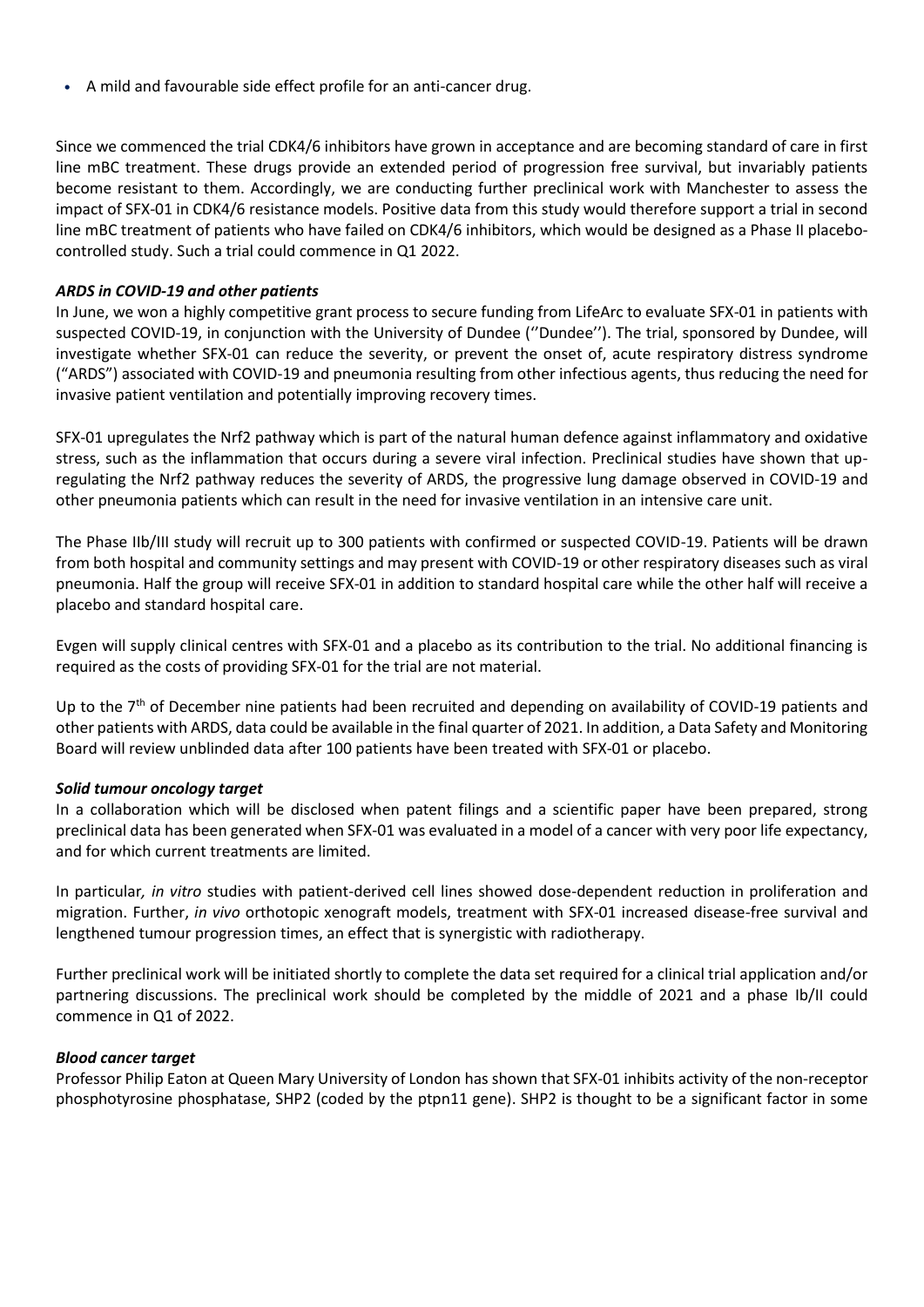• A mild and favourable side effect profile for an anti-cancer drug.

Since we commenced the trial CDK4/6 inhibitors have grown in acceptance and are becoming standard of care in first line mBC treatment. These drugs provide an extended period of progression free survival, but invariably patients become resistant to them. Accordingly, we are conducting further preclinical work with Manchester to assess the impact of SFX-01 in CDK4/6 resistance models. Positive data from this study would therefore support a trial in second line mBC treatment of patients who have failed on CDK4/6 inhibitors, which would be designed as a Phase II placebocontrolled study. Such a trial could commence in Q1 2022.

## *ARDS in COVID-19 and other patients*

In June, we won a highly competitive grant process to secure funding from LifeArc to evaluate SFX-01 in patients with suspected COVID-19, in conjunction with the University of Dundee (''Dundee''). The trial, sponsored by Dundee, will investigate whether SFX-01 can reduce the severity, or prevent the onset of, acute respiratory distress syndrome ("ARDS") associated with COVID-19 and pneumonia resulting from other infectious agents, thus reducing the need for invasive patient ventilation and potentially improving recovery times.

SFX-01 upregulates the Nrf2 pathway which is part of the natural human defence against inflammatory and oxidative stress, such as the inflammation that occurs during a severe viral infection. Preclinical studies have shown that upregulating the Nrf2 pathway reduces the severity of ARDS, the progressive lung damage observed in COVID-19 and other pneumonia patients which can result in the need for invasive ventilation in an intensive care unit.

The Phase IIb/III study will recruit up to 300 patients with confirmed or suspected COVID-19. Patients will be drawn from both hospital and community settings and may present with COVID-19 or other respiratory diseases such as viral pneumonia. Half the group will receive SFX-01 in addition to standard hospital care while the other half will receive a placebo and standard hospital care.

Evgen will supply clinical centres with SFX-01 and a placebo as its contribution to the trial. No additional financing is required as the costs of providing SFX-01 for the trial are not material.

Up to the 7<sup>th</sup> of December nine patients had been recruited and depending on availability of COVID-19 patients and other patients with ARDS, data could be available in the final quarter of 2021. In addition, a Data Safety and Monitoring Board will review unblinded data after 100 patients have been treated with SFX-01 or placebo.

## *Solid tumour oncology target*

In a collaboration which will be disclosed when patent filings and a scientific paper have been prepared, strong preclinical data has been generated when SFX-01 was evaluated in a model of a cancer with very poor life expectancy, and for which current treatments are limited.

In particular*, in vitro* studies with patient-derived cell lines showed dose-dependent reduction in proliferation and migration. Further, *in vivo* orthotopic xenograft models, treatment with SFX-01 increased disease-free survival and lengthened tumour progression times, an effect that is synergistic with radiotherapy.

Further preclinical work will be initiated shortly to complete the data set required for a clinical trial application and/or partnering discussions. The preclinical work should be completed by the middle of 2021 and a phase Ib/II could commence in Q1 of 2022.

## *Blood cancer target*

Professor Philip Eaton at Queen Mary University of London has shown that SFX-01 inhibits activity of the non-receptor phosphotyrosine phosphatase, SHP2 (coded by the ptpn11 gene). SHP2 is thought to be a significant factor in some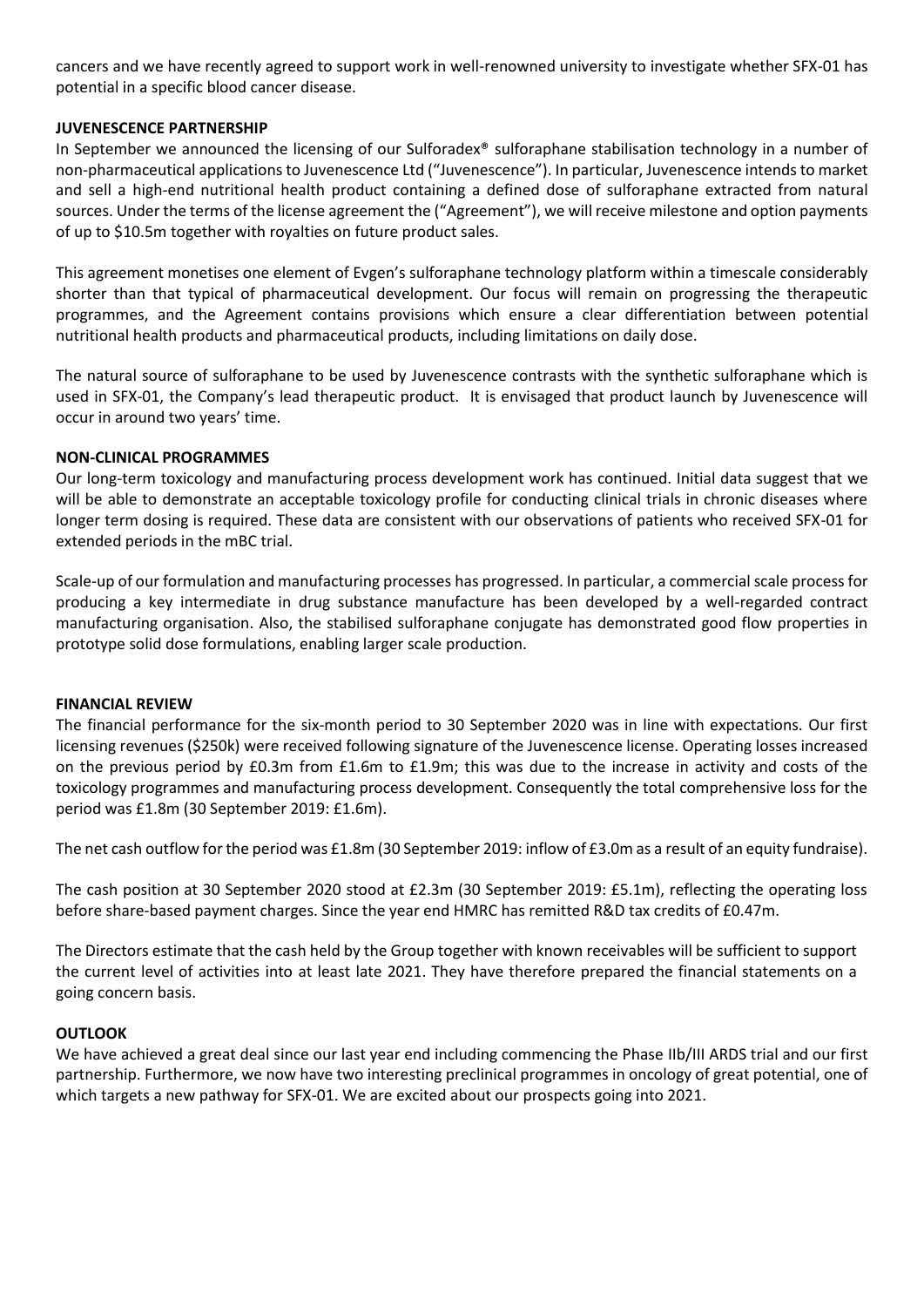cancers and we have recently agreed to support work in well-renowned university to investigate whether SFX-01 has potential in a specific blood cancer disease.

## **JUVENESCENCE PARTNERSHIP**

In September we announced the licensing of our Sulforadex<sup>®</sup> sulforaphane stabilisation technology in a number of non-pharmaceutical applications to Juvenescence Ltd ("Juvenescence"). In particular, Juvenescence intends to market and sell a high-end nutritional health product containing a defined dose of sulforaphane extracted from natural sources. Under the terms of the license agreement the ("Agreement"), we will receive milestone and option payments of up to \$10.5m together with royalties on future product sales.

This agreement monetises one element of Evgen's sulforaphane technology platform within a timescale considerably shorter than that typical of pharmaceutical development. Our focus will remain on progressing the therapeutic programmes, and the Agreement contains provisions which ensure a clear differentiation between potential nutritional health products and pharmaceutical products, including limitations on daily dose.

The natural source of sulforaphane to be used by Juvenescence contrasts with the synthetic sulforaphane which is used in SFX-01, the Company's lead therapeutic product. It is envisaged that product launch by Juvenescence will occur in around two years' time.

#### **NON-CLINICAL PROGRAMMES**

Our long-term toxicology and manufacturing process development work has continued. Initial data suggest that we will be able to demonstrate an acceptable toxicology profile for conducting clinical trials in chronic diseases where longer term dosing is required. These data are consistent with our observations of patients who received SFX-01 for extended periods in the mBC trial.

Scale-up of our formulation and manufacturing processes has progressed. In particular, a commercial scale process for producing a key intermediate in drug substance manufacture has been developed by a well-regarded contract manufacturing organisation. Also, the stabilised sulforaphane conjugate has demonstrated good flow properties in prototype solid dose formulations, enabling larger scale production.

#### **FINANCIAL REVIEW**

The financial performance for the six-month period to 30 September 2020 was in line with expectations. Our first licensing revenues (\$250k) were received following signature of the Juvenescence license. Operating losses increased on the previous period by £0.3m from £1.6m to £1.9m; this was due to the increase in activity and costs of the toxicology programmes and manufacturing process development. Consequently the total comprehensive loss for the period was £1.8m (30 September 2019: £1.6m).

The net cash outflow for the period was £1.8m (30 September 2019: inflow of £3.0m as a result of an equity fundraise).

The cash position at 30 September 2020 stood at £2.3m (30 September 2019: £5.1m), reflecting the operating loss before share-based payment charges. Since the year end HMRC has remitted R&D tax credits of £0.47m.

The Directors estimate that the cash held by the Group together with known receivables will be sufficient to support the current level of activities into at least late 2021. They have therefore prepared the financial statements on a going concern basis.

#### **OUTLOOK**

We have achieved a great deal since our last year end including commencing the Phase IIb/III ARDS trial and our first partnership. Furthermore, we now have two interesting preclinical programmes in oncology of great potential, one of which targets a new pathway for SFX-01. We are excited about our prospects going into 2021.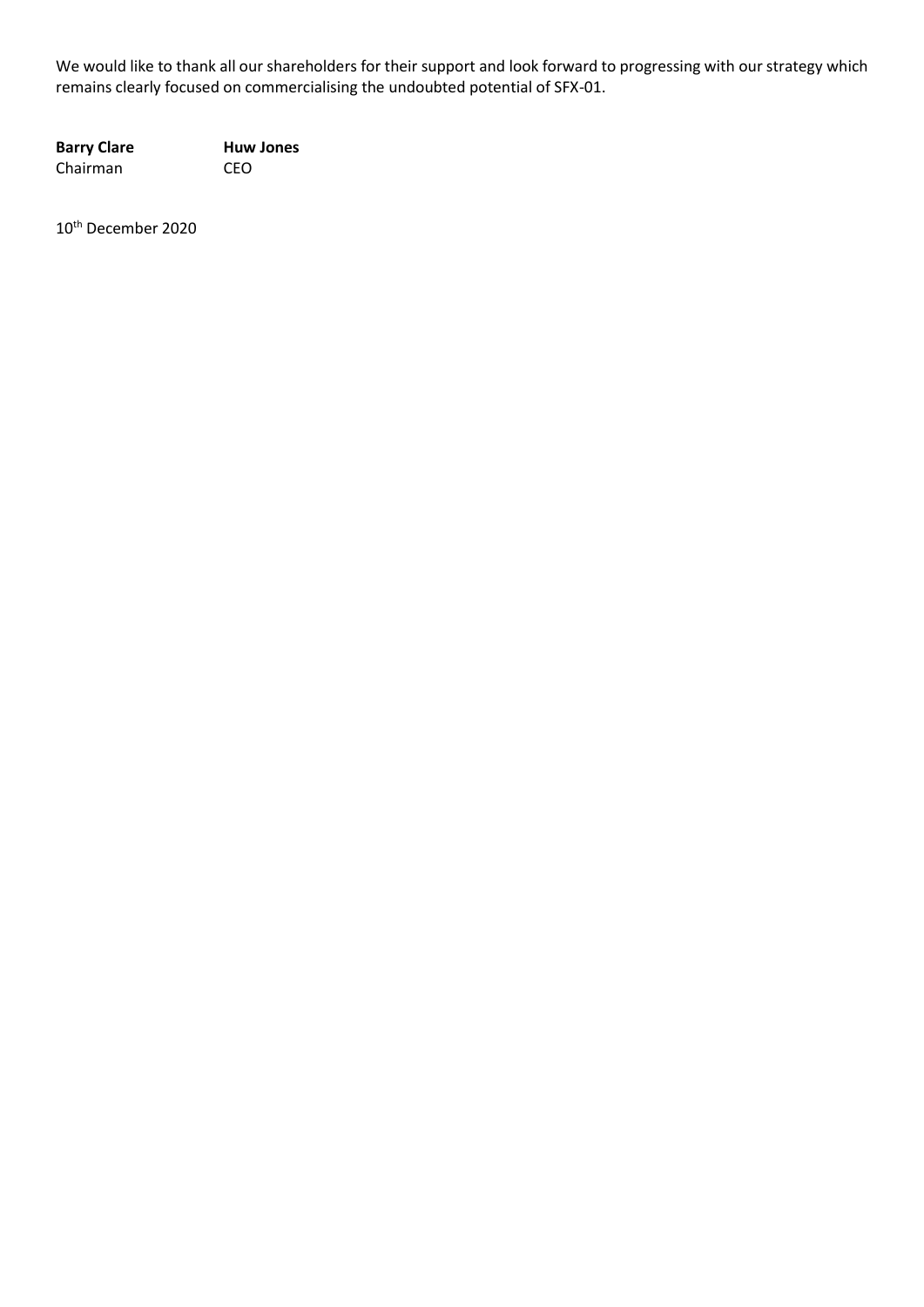We would like to thank all our shareholders for their support and look forward to progressing with our strategy which remains clearly focused on commercialising the undoubted potential of SFX-01.

**Barry Clare Huw Jones** Chairman CEO

10th December 2020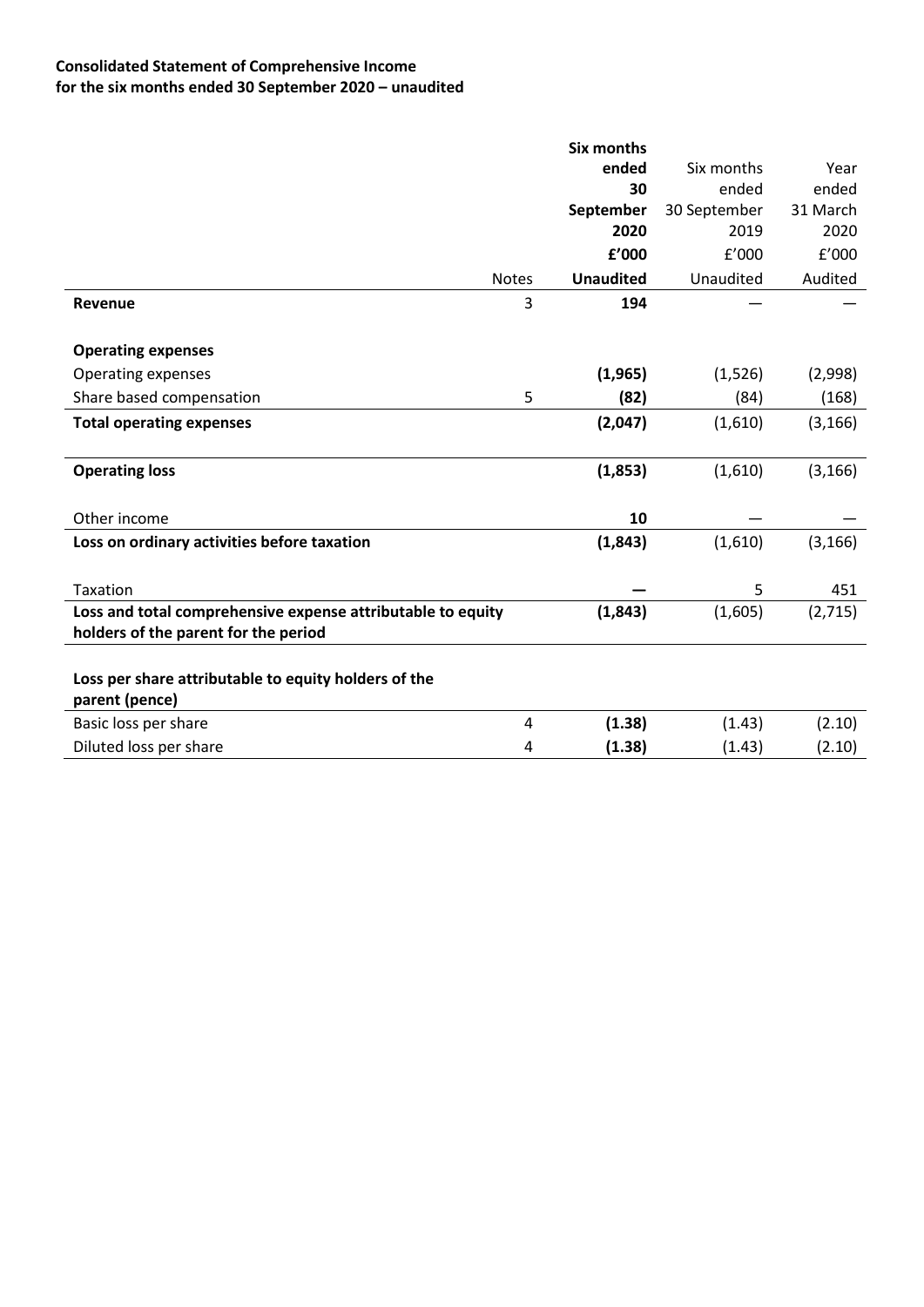# **Consolidated Statement of Comprehensive Income for the six months ended 30 September 2020 – unaudited**

|                                                             |              | <b>Six months</b> |              |          |
|-------------------------------------------------------------|--------------|-------------------|--------------|----------|
|                                                             |              | ended             | Six months   | Year     |
|                                                             |              | 30                | ended        | ended    |
|                                                             |              | September         | 30 September | 31 March |
|                                                             |              | 2020              | 2019         | 2020     |
|                                                             |              | £'000             | f'000        | f'000    |
|                                                             | <b>Notes</b> | <b>Unaudited</b>  | Unaudited    | Audited  |
| Revenue                                                     | 3            | 194               |              |          |
| <b>Operating expenses</b>                                   |              |                   |              |          |
| Operating expenses                                          |              | (1,965)           | (1,526)      | (2,998)  |
| Share based compensation                                    | 5            | (82)              | (84)         | (168)    |
| <b>Total operating expenses</b>                             |              | (2,047)           | (1,610)      | (3, 166) |
|                                                             |              |                   |              |          |
| <b>Operating loss</b>                                       |              | (1,853)           | (1,610)      | (3, 166) |
| Other income                                                |              | 10                |              |          |
|                                                             |              |                   |              |          |
| Loss on ordinary activities before taxation                 |              | (1,843)           | (1,610)      | (3, 166) |
| Taxation                                                    |              |                   | 5            | 451      |
| Loss and total comprehensive expense attributable to equity |              | (1,843)           | (1,605)      | (2,715)  |
| holders of the parent for the period                        |              |                   |              |          |
|                                                             |              |                   |              |          |
| Loss per share attributable to equity holders of the        |              |                   |              |          |
| parent (pence)                                              |              |                   |              |          |
| Basic loss per share                                        | 4            | (1.38)            | (1.43)       | (2.10)   |
| Diluted loss per share                                      | 4            | (1.38)            | (1.43)       | (2.10)   |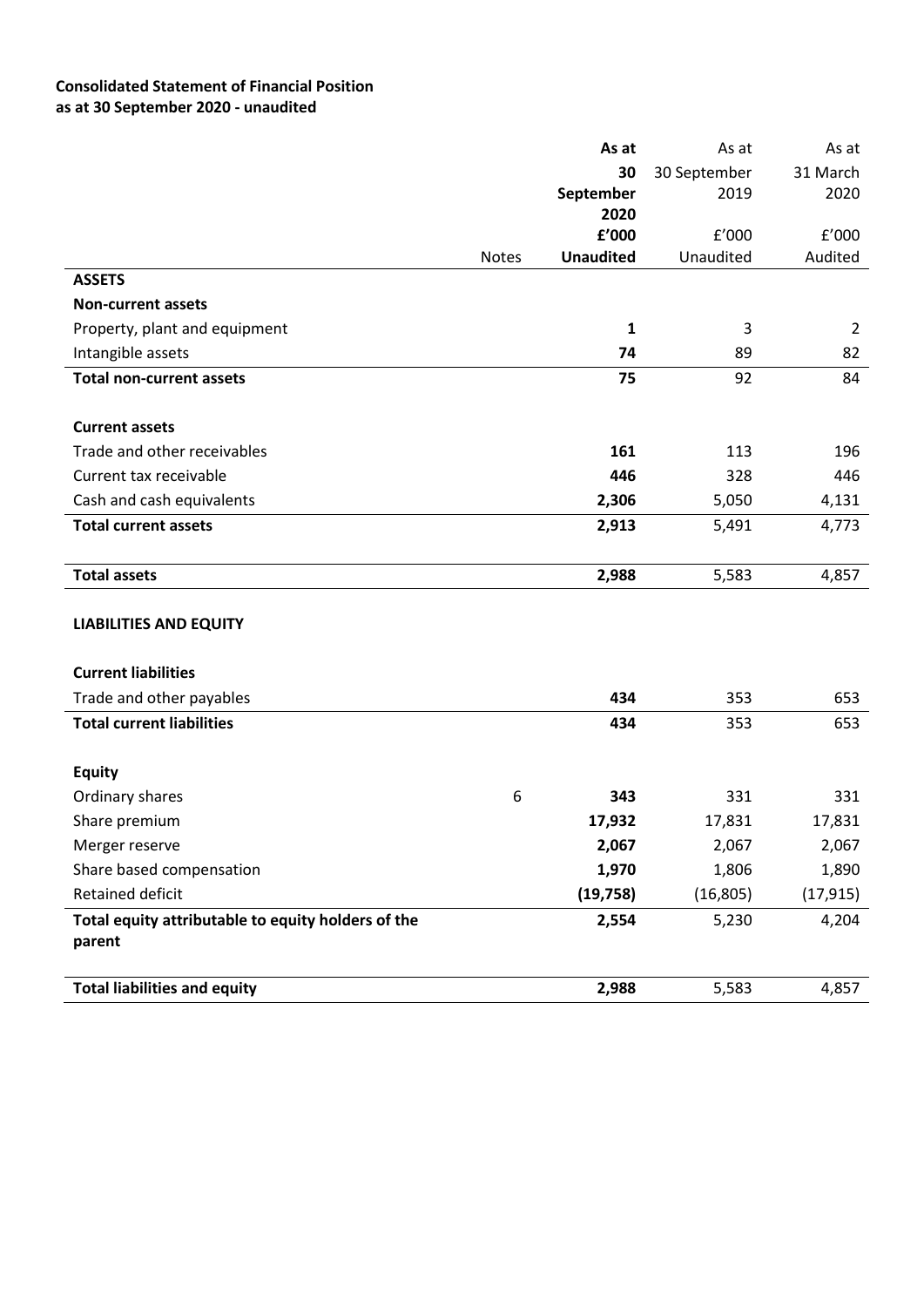# **Consolidated Statement of Financial Position as at 30 September 2020 - unaudited**

|                                                    |              | As at            | As at        | As at          |
|----------------------------------------------------|--------------|------------------|--------------|----------------|
|                                                    |              | 30               | 30 September | 31 March       |
|                                                    |              | September        | 2019         | 2020           |
|                                                    |              | 2020             |              |                |
|                                                    |              | f'000            | f'000        | f'000          |
| <b>ASSETS</b>                                      | <b>Notes</b> | <b>Unaudited</b> | Unaudited    | Audited        |
| <b>Non-current assets</b>                          |              |                  |              |                |
|                                                    |              |                  | $\mathsf 3$  |                |
| Property, plant and equipment                      |              | $\mathbf{1}$     |              | $\overline{2}$ |
| Intangible assets                                  |              | 74               | 89           | 82             |
| <b>Total non-current assets</b>                    |              | 75               | 92           | 84             |
|                                                    |              |                  |              |                |
| <b>Current assets</b>                              |              |                  |              |                |
| Trade and other receivables                        |              | 161              | 113          | 196            |
| Current tax receivable                             |              | 446              | 328          | 446            |
| Cash and cash equivalents                          |              | 2,306            | 5,050        | 4,131          |
| <b>Total current assets</b>                        |              | 2,913            | 5,491        | 4,773          |
|                                                    |              |                  |              |                |
| <b>Total assets</b>                                |              | 2,988            | 5,583        | 4,857          |
|                                                    |              |                  |              |                |
| <b>LIABILITIES AND EQUITY</b>                      |              |                  |              |                |
|                                                    |              |                  |              |                |
| <b>Current liabilities</b>                         |              |                  |              |                |
| Trade and other payables                           |              | 434              | 353          | 653            |
| <b>Total current liabilities</b>                   |              | 434              | 353          | 653            |
|                                                    |              |                  |              |                |
| <b>Equity</b>                                      |              |                  |              |                |
| Ordinary shares                                    | 6            | 343              | 331          | 331            |
| Share premium                                      |              | 17,932           | 17,831       | 17,831         |
| Merger reserve                                     |              | 2,067            | 2,067        | 2,067          |
| Share based compensation                           |              | 1,970            | 1,806        | 1,890          |
| Retained deficit                                   |              | (19, 758)        | (16, 805)    | (17, 915)      |
| Total equity attributable to equity holders of the |              | 2,554            | 5,230        | 4,204          |
| parent                                             |              |                  |              |                |
|                                                    |              |                  |              |                |
| <b>Total liabilities and equity</b>                |              | 2,988            | 5,583        | 4,857          |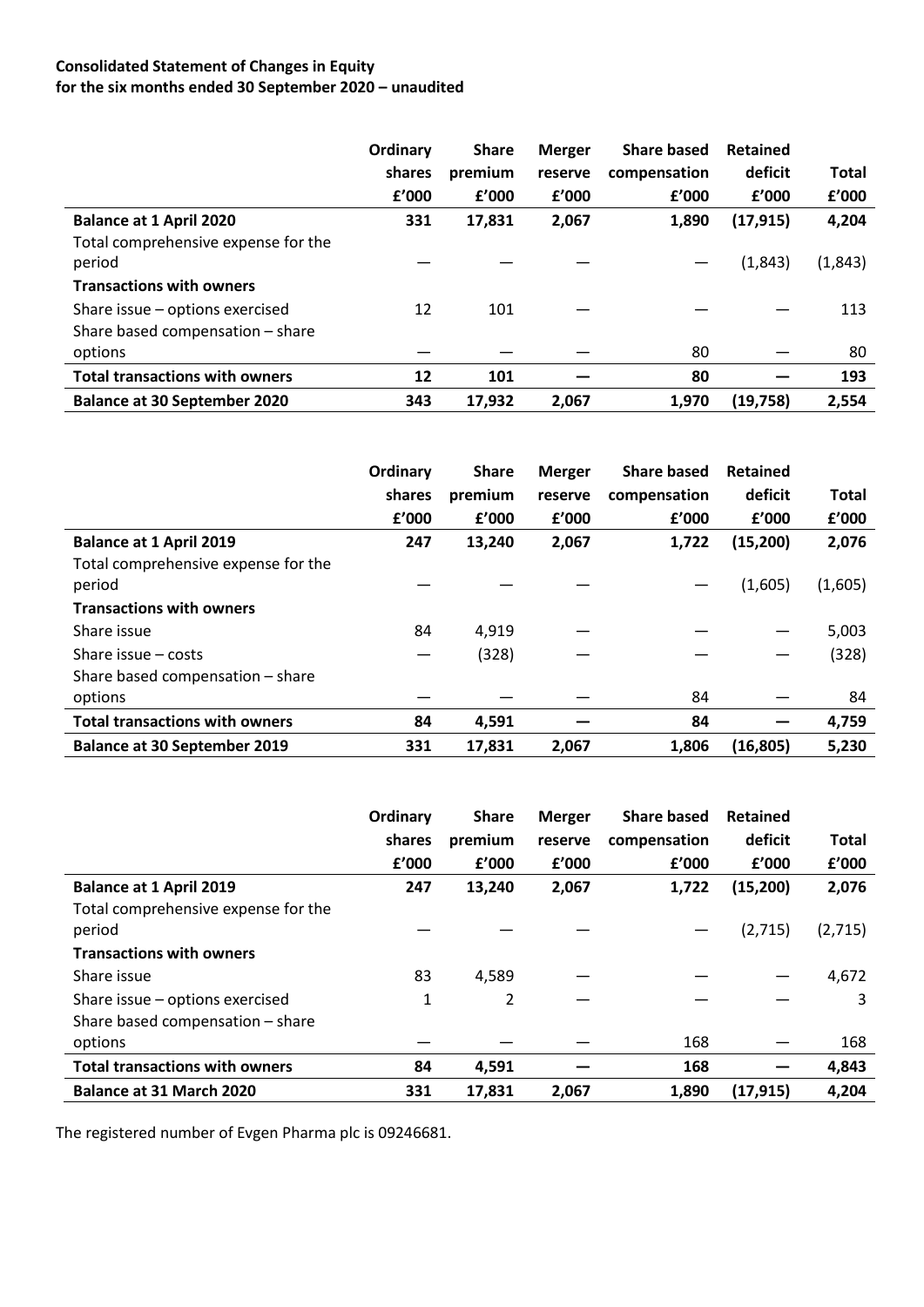# **Consolidated Statement of Changes in Equity for the six months ended 30 September 2020 – unaudited**

|                                               | Ordinary | <b>Share</b> | <b>Merger</b> | <b>Share based</b> | <b>Retained</b> |              |
|-----------------------------------------------|----------|--------------|---------------|--------------------|-----------------|--------------|
|                                               | shares   | premium      | reserve       | compensation       | deficit         | <b>Total</b> |
|                                               | f'000    | f'000        | f'000         | f'000              | f'000           | £'000        |
| <b>Balance at 1 April 2020</b>                | 331      | 17,831       | 2,067         | 1,890              | (17, 915)       | 4,204        |
| Total comprehensive expense for the<br>period |          |              |               |                    | (1,843)         | (1,843)      |
| <b>Transactions with owners</b>               |          |              |               |                    |                 |              |
| Share issue - options exercised               | 12       | 101          |               |                    |                 | 113          |
| Share based compensation - share              |          |              |               |                    |                 |              |
| options                                       |          |              |               | 80                 |                 | 80           |
| <b>Total transactions with owners</b>         | 12       | 101          |               | 80                 |                 | 193          |
| <b>Balance at 30 September 2020</b>           | 343      | 17.932       | 2,067         | 1,970              | (19, 758)       | 2,554        |

|                                       | Ordinary | <b>Share</b> | <b>Merger</b> | <b>Share based</b> | Retained  |              |
|---------------------------------------|----------|--------------|---------------|--------------------|-----------|--------------|
|                                       | shares   | premium      | reserve       | compensation       | deficit   | <b>Total</b> |
|                                       | f'000    | f'000        | f'000         | f'000              | f'000     | f'000        |
| <b>Balance at 1 April 2019</b>        | 247      | 13,240       | 2,067         | 1,722              | (15,200)  | 2,076        |
| Total comprehensive expense for the   |          |              |               |                    |           |              |
| period                                |          |              |               |                    | (1,605)   | (1,605)      |
| <b>Transactions with owners</b>       |          |              |               |                    |           |              |
| Share issue                           | 84       | 4,919        |               |                    |           | 5,003        |
| Share issue $-$ costs                 |          | (328)        |               |                    |           | (328)        |
| Share based compensation - share      |          |              |               |                    |           |              |
| options                               |          |              |               | 84                 |           | 84           |
| <b>Total transactions with owners</b> | 84       | 4,591        |               | 84                 |           | 4,759        |
| <b>Balance at 30 September 2019</b>   | 331      | 17,831       | 2,067         | 1,806              | (16, 805) | 5,230        |

|                                               | Ordinary | <b>Share</b> | <b>Merger</b> | <b>Share based</b> | Retained  |         |
|-----------------------------------------------|----------|--------------|---------------|--------------------|-----------|---------|
|                                               | shares   | premium      | reserve       | compensation       | deficit   | Total   |
|                                               | f'000    | f'000        | f'000         | f'000              | f'000     | f'000   |
| <b>Balance at 1 April 2019</b>                | 247      | 13,240       | 2,067         | 1,722              | (15, 200) | 2,076   |
| Total comprehensive expense for the<br>period |          |              |               |                    | (2,715)   | (2,715) |
| <b>Transactions with owners</b>               |          |              |               |                    |           |         |
| Share issue                                   | 83       | 4,589        |               |                    |           | 4,672   |
| Share issue - options exercised               | 1        | 2            |               |                    |           | 3       |
| Share based compensation - share              |          |              |               |                    |           |         |
| options                                       |          |              |               | 168                |           | 168     |
| <b>Total transactions with owners</b>         | 84       | 4,591        |               | 168                |           | 4,843   |
| <b>Balance at 31 March 2020</b>               | 331      | 17,831       | 2,067         | 1,890              | (17, 915) | 4,204   |

The registered number of Evgen Pharma plc is 09246681.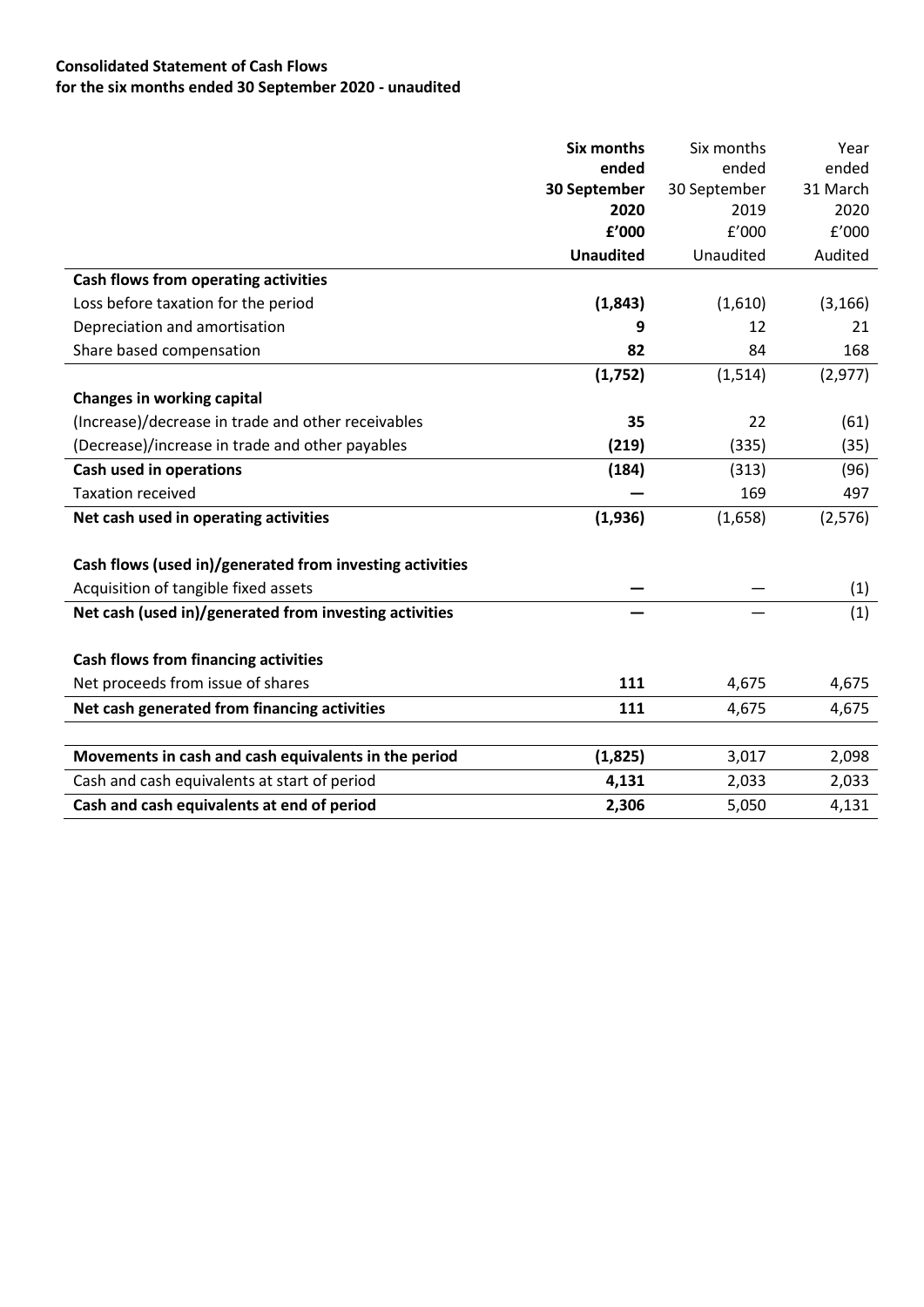# **Consolidated Statement of Cash Flows for the six months ended 30 September 2020 - unaudited**

|                                                          | Six months       | Six months   | Year     |
|----------------------------------------------------------|------------------|--------------|----------|
|                                                          | ended            | ended        | ended    |
|                                                          | 30 September     | 30 September | 31 March |
|                                                          | 2020             | 2019         | 2020     |
|                                                          | £'000            | f'000        | f'000    |
|                                                          | <b>Unaudited</b> | Unaudited    | Audited  |
| Cash flows from operating activities                     |                  |              |          |
| Loss before taxation for the period                      | (1,843)          | (1,610)      | (3, 166) |
| Depreciation and amortisation                            | 9                | 12           | 21       |
| Share based compensation                                 | 82               | 84           | 168      |
|                                                          | (1,752)          | (1, 514)     | (2, 977) |
| <b>Changes in working capital</b>                        |                  |              |          |
| (Increase)/decrease in trade and other receivables       | 35               | 22           | (61)     |
| (Decrease)/increase in trade and other payables          | (219)            | (335)        | (35)     |
| <b>Cash used in operations</b>                           | (184)            | (313)        | (96)     |
| <b>Taxation received</b>                                 |                  | 169          | 497      |
| Net cash used in operating activities                    | (1,936)          | (1,658)      | (2, 576) |
|                                                          |                  |              |          |
| Cash flows (used in)/generated from investing activities |                  |              |          |
| Acquisition of tangible fixed assets                     |                  |              | (1)      |
| Net cash (used in)/generated from investing activities   |                  |              | (1)      |
|                                                          |                  |              |          |
| <b>Cash flows from financing activities</b>              |                  |              |          |
| Net proceeds from issue of shares                        | 111              | 4,675        | 4,675    |
| Net cash generated from financing activities             | 111              | 4,675        | 4,675    |
|                                                          |                  |              |          |
| Movements in cash and cash equivalents in the period     | (1,825)          | 3,017        | 2,098    |
| Cash and cash equivalents at start of period             | 4,131            | 2,033        | 2,033    |
| Cash and cash equivalents at end of period               | 2,306            | 5,050        | 4,131    |
|                                                          |                  |              |          |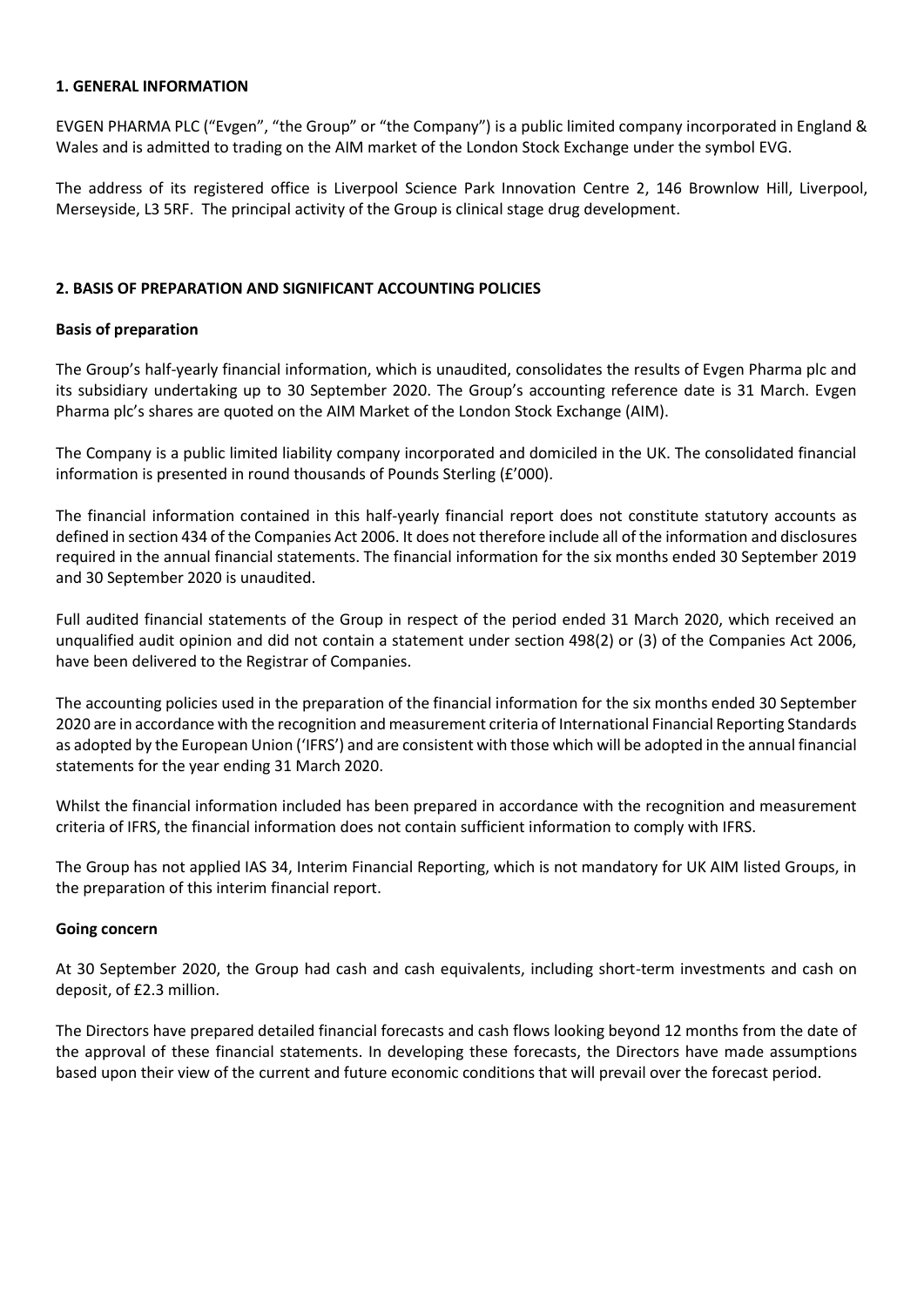#### **1. GENERAL INFORMATION**

EVGEN PHARMA PLC ("Evgen", "the Group" or "the Company") is a public limited company incorporated in England & Wales and is admitted to trading on the AIM market of the London Stock Exchange under the symbol EVG.

The address of its registered office is Liverpool Science Park Innovation Centre 2, 146 Brownlow Hill, Liverpool, Merseyside, L3 5RF. The principal activity of the Group is clinical stage drug development.

## **2. BASIS OF PREPARATION AND SIGNIFICANT ACCOUNTING POLICIES**

## **Basis of preparation**

The Group's half-yearly financial information, which is unaudited, consolidates the results of Evgen Pharma plc and its subsidiary undertaking up to 30 September 2020. The Group's accounting reference date is 31 March. Evgen Pharma plc's shares are quoted on the AIM Market of the London Stock Exchange (AIM).

The Company is a public limited liability company incorporated and domiciled in the UK. The consolidated financial information is presented in round thousands of Pounds Sterling (£'000).

The financial information contained in this half-yearly financial report does not constitute statutory accounts as defined in section 434 of the Companies Act 2006. It does not therefore include all of the information and disclosures required in the annual financial statements. The financial information for the six months ended 30 September 2019 and 30 September 2020 is unaudited.

Full audited financial statements of the Group in respect of the period ended 31 March 2020, which received an unqualified audit opinion and did not contain a statement under section 498(2) or (3) of the Companies Act 2006, have been delivered to the Registrar of Companies.

The accounting policies used in the preparation of the financial information for the six months ended 30 September 2020 are in accordance with the recognition and measurement criteria of International Financial Reporting Standards as adopted by the European Union ('IFRS') and are consistent with those which will be adopted in the annual financial statements for the year ending 31 March 2020.

Whilst the financial information included has been prepared in accordance with the recognition and measurement criteria of IFRS, the financial information does not contain sufficient information to comply with IFRS.

The Group has not applied IAS 34, Interim Financial Reporting, which is not mandatory for UK AIM listed Groups, in the preparation of this interim financial report.

## **Going concern**

At 30 September 2020, the Group had cash and cash equivalents, including short-term investments and cash on deposit, of £2.3 million.

The Directors have prepared detailed financial forecasts and cash flows looking beyond 12 months from the date of the approval of these financial statements. In developing these forecasts, the Directors have made assumptions based upon their view of the current and future economic conditions that will prevail over the forecast period.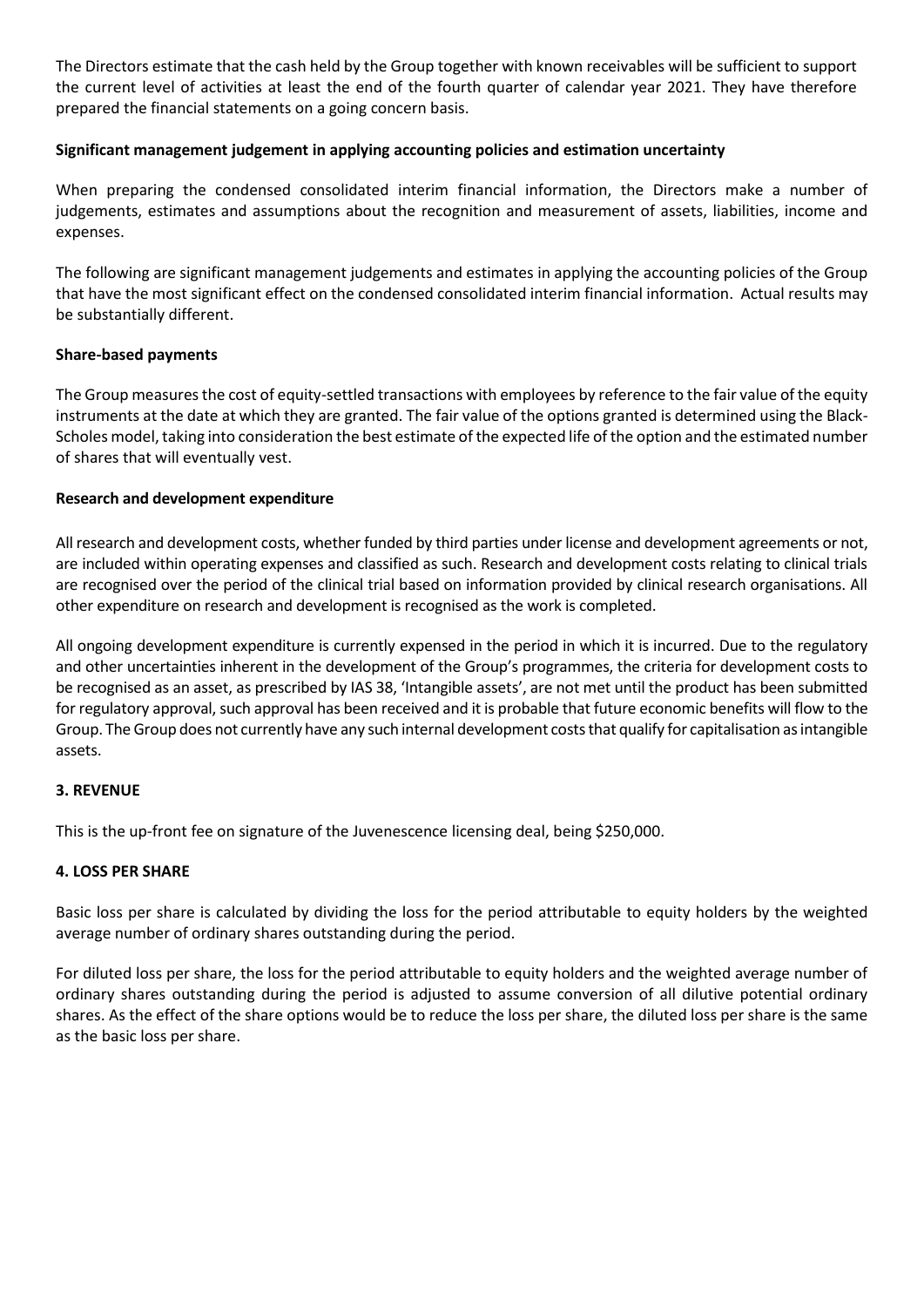The Directors estimate that the cash held by the Group together with known receivables will be sufficient to support the current level of activities at least the end of the fourth quarter of calendar year 2021. They have therefore prepared the financial statements on a going concern basis.

## **Significant management judgement in applying accounting policies and estimation uncertainty**

When preparing the condensed consolidated interim financial information, the Directors make a number of judgements, estimates and assumptions about the recognition and measurement of assets, liabilities, income and expenses.

The following are significant management judgements and estimates in applying the accounting policies of the Group that have the most significant effect on the condensed consolidated interim financial information. Actual results may be substantially different.

## **Share-based payments**

The Group measures the cost of equity-settled transactions with employees by reference to the fair value of the equity instruments at the date at which they are granted. The fair value of the options granted is determined using the Black-Scholes model, taking into consideration the best estimate of the expected life of the option and the estimated number of shares that will eventually vest.

## **Research and development expenditure**

All research and development costs, whether funded by third parties under license and development agreements or not, are included within operating expenses and classified as such. Research and development costs relating to clinical trials are recognised over the period of the clinical trial based on information provided by clinical research organisations. All other expenditure on research and development is recognised as the work is completed.

All ongoing development expenditure is currently expensed in the period in which it is incurred. Due to the regulatory and other uncertainties inherent in the development of the Group's programmes, the criteria for development costs to be recognised as an asset, as prescribed by IAS 38, 'Intangible assets', are not met until the product has been submitted for regulatory approval, such approval has been received and it is probable that future economic benefits will flow to the Group. The Group does not currently have any such internal development costs that qualify for capitalisation as intangible assets.

## **3. REVENUE**

This is the up-front fee on signature of the Juvenescence licensing deal, being \$250,000.

## **4. LOSS PER SHARE**

Basic loss per share is calculated by dividing the loss for the period attributable to equity holders by the weighted average number of ordinary shares outstanding during the period.

For diluted loss per share, the loss for the period attributable to equity holders and the weighted average number of ordinary shares outstanding during the period is adjusted to assume conversion of all dilutive potential ordinary shares. As the effect of the share options would be to reduce the loss per share, the diluted loss per share is the same as the basic loss per share.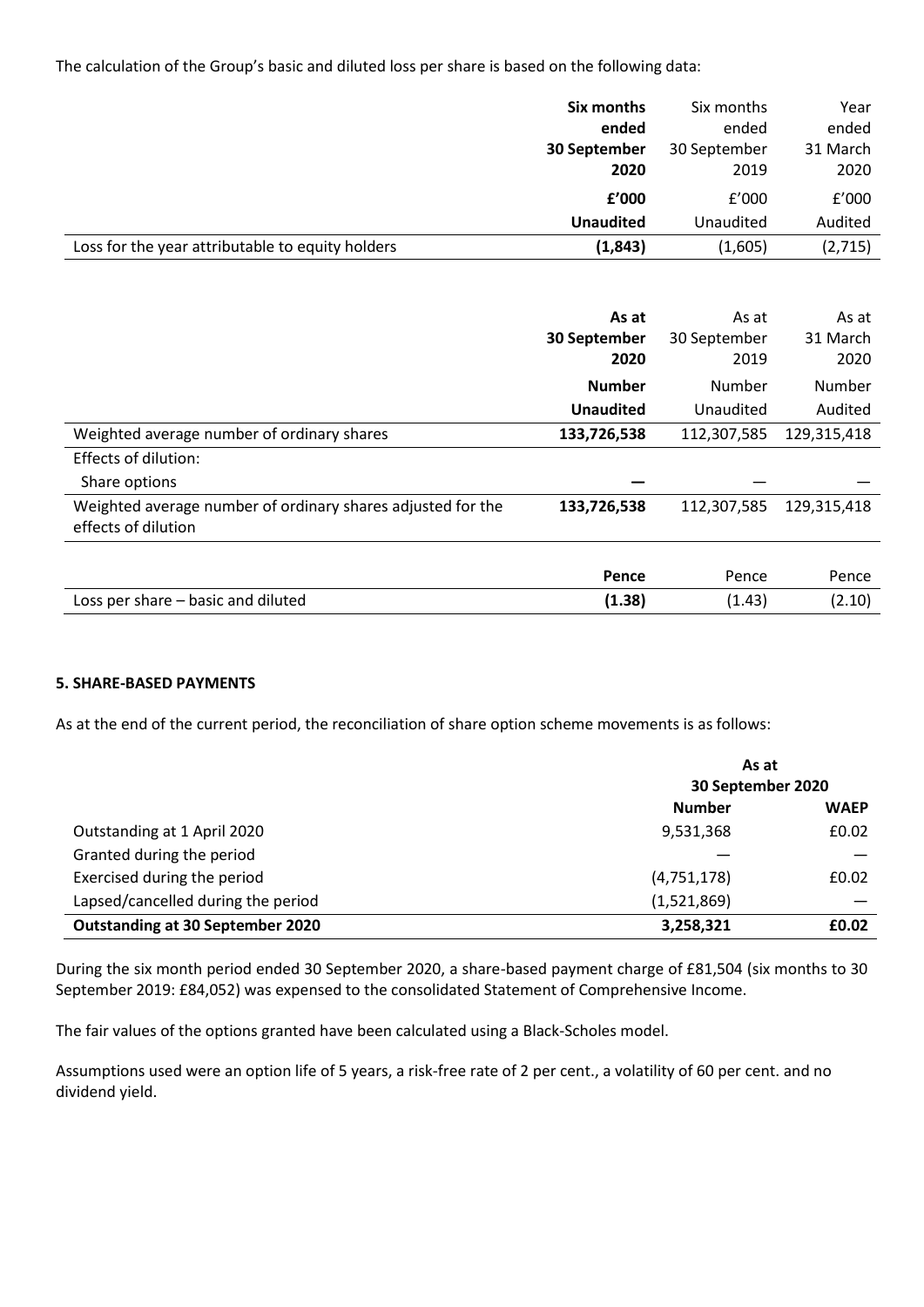The calculation of the Group's basic and diluted loss per share is based on the following data:

|                                                  | Six months<br>ended       | Six months<br>ended | Year<br>ended    |
|--------------------------------------------------|---------------------------|---------------------|------------------|
|                                                  | 30 September              | 30 September        | 31 March         |
|                                                  | 2020                      | 2019                | 2020             |
|                                                  | f'000<br><b>Unaudited</b> | f'000<br>Unaudited  | f'000<br>Audited |
| Loss for the year attributable to equity holders | (1,843)                   | (1,605)             | (2,715)          |

|                                                                                    | As at<br>30 September<br>2020 | As at<br>30 September<br>2019 | As at<br>31 March<br>2020 |
|------------------------------------------------------------------------------------|-------------------------------|-------------------------------|---------------------------|
|                                                                                    | <b>Number</b>                 | Number                        | Number                    |
|                                                                                    | <b>Unaudited</b>              | Unaudited                     | Audited                   |
| Weighted average number of ordinary shares                                         | 133,726,538                   | 112,307,585                   | 129,315,418               |
| <b>Effects of dilution:</b>                                                        |                               |                               |                           |
| Share options                                                                      |                               |                               |                           |
| Weighted average number of ordinary shares adjusted for the<br>effects of dilution | 133,726,538                   | 112,307,585                   | 129,315,418               |
|                                                                                    |                               |                               |                           |
|                                                                                    | Pence                         | Pence                         | Pence                     |
| Loss per share - basic and diluted                                                 | (1.38)                        | (1.43)                        | (2.10)                    |

## **5. SHARE-BASED PAYMENTS**

As at the end of the current period, the reconciliation of share option scheme movements is as follows:

|                                    | As at<br>30 September 2020 |             |
|------------------------------------|----------------------------|-------------|
|                                    | <b>Number</b>              | <b>WAEP</b> |
| Outstanding at 1 April 2020        | 9,531,368                  | £0.02       |
| Granted during the period          |                            |             |
| Exercised during the period        | (4,751,178)                | £0.02       |
| Lapsed/cancelled during the period | (1,521,869)                |             |
| Outstanding at 30 September 2020   | 3,258,321                  | £0.02       |

During the six month period ended 30 September 2020, a share-based payment charge of £81,504 (six months to 30 September 2019: £84,052) was expensed to the consolidated Statement of Comprehensive Income.

The fair values of the options granted have been calculated using a Black-Scholes model.

Assumptions used were an option life of 5 years, a risk-free rate of 2 per cent., a volatility of 60 per cent. and no dividend yield.